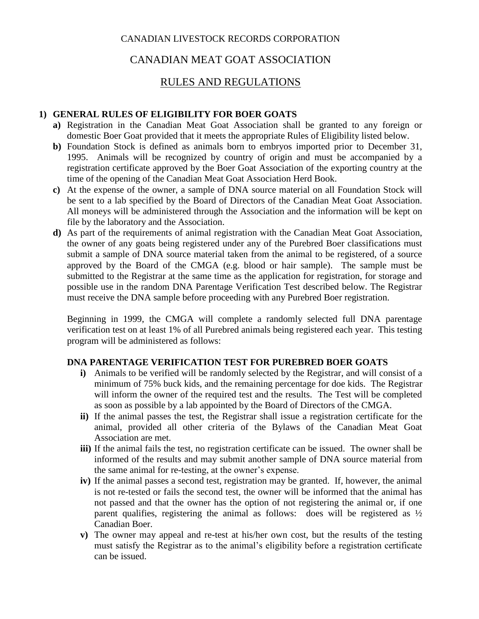## CANADIAN LIVESTOCK RECORDS CORPORATION

# CANADIAN MEAT GOAT ASSOCIATION

## RULES AND REGULATIONS

#### **1) GENERAL RULES OF ELIGIBILITY FOR BOER GOATS**

- **a)** Registration in the Canadian Meat Goat Association shall be granted to any foreign or domestic Boer Goat provided that it meets the appropriate Rules of Eligibility listed below.
- **b)** Foundation Stock is defined as animals born to embryos imported prior to December 31, 1995. Animals will be recognized by country of origin and must be accompanied by a registration certificate approved by the Boer Goat Association of the exporting country at the time of the opening of the Canadian Meat Goat Association Herd Book.
- **c)** At the expense of the owner, a sample of DNA source material on all Foundation Stock will be sent to a lab specified by the Board of Directors of the Canadian Meat Goat Association. All moneys will be administered through the Association and the information will be kept on file by the laboratory and the Association.
- **d)** As part of the requirements of animal registration with the Canadian Meat Goat Association, the owner of any goats being registered under any of the Purebred Boer classifications must submit a sample of DNA source material taken from the animal to be registered, of a source approved by the Board of the CMGA (e.g. blood or hair sample). The sample must be submitted to the Registrar at the same time as the application for registration, for storage and possible use in the random DNA Parentage Verification Test described below. The Registrar must receive the DNA sample before proceeding with any Purebred Boer registration.

Beginning in 1999, the CMGA will complete a randomly selected full DNA parentage verification test on at least 1% of all Purebred animals being registered each year. This testing program will be administered as follows:

#### **DNA PARENTAGE VERIFICATION TEST FOR PUREBRED BOER GOATS**

- **i)** Animals to be verified will be randomly selected by the Registrar, and will consist of a minimum of 75% buck kids, and the remaining percentage for doe kids. The Registrar will inform the owner of the required test and the results. The Test will be completed as soon as possible by a lab appointed by the Board of Directors of the CMGA.
- **ii)** If the animal passes the test, the Registrar shall issue a registration certificate for the animal, provided all other criteria of the Bylaws of the Canadian Meat Goat Association are met.
- **iii)** If the animal fails the test, no registration certificate can be issued. The owner shall be informed of the results and may submit another sample of DNA source material from the same animal for re-testing, at the owner's expense.
- **iv)** If the animal passes a second test, registration may be granted. If, however, the animal is not re-tested or fails the second test, the owner will be informed that the animal has not passed and that the owner has the option of not registering the animal or, if one parent qualifies, registering the animal as follows: does will be registered as ½ Canadian Boer.
- **v)** The owner may appeal and re-test at his/her own cost, but the results of the testing must satisfy the Registrar as to the animal's eligibility before a registration certificate can be issued.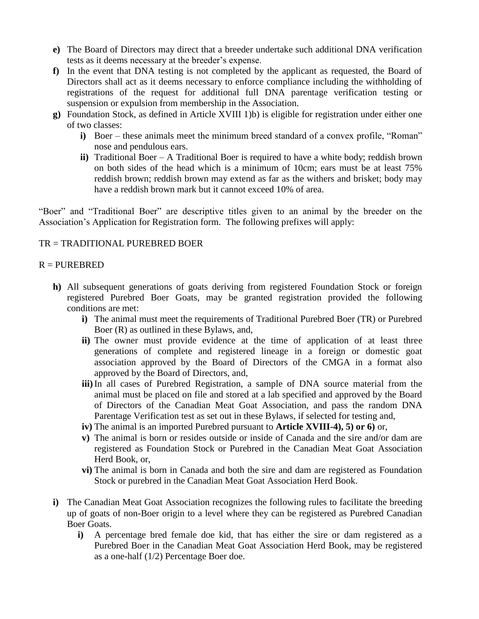- **e)** The Board of Directors may direct that a breeder undertake such additional DNA verification tests as it deems necessary at the breeder's expense.
- **f)** In the event that DNA testing is not completed by the applicant as requested, the Board of Directors shall act as it deems necessary to enforce compliance including the withholding of registrations of the request for additional full DNA parentage verification testing or suspension or expulsion from membership in the Association.
- **g)** Foundation Stock, as defined in Article XVIII 1)b) is eligible for registration under either one of two classes:
	- **i**) Boer these animals meet the minimum breed standard of a convex profile, "Roman" nose and pendulous ears.
	- **ii)** Traditional Boer A Traditional Boer is required to have a white body; reddish brown on both sides of the head which is a minimum of 10cm; ears must be at least 75% reddish brown; reddish brown may extend as far as the withers and brisket; body may have a reddish brown mark but it cannot exceed 10% of area.

"Boer" and "Traditional Boer" are descriptive titles given to an animal by the breeder on the Association's Application for Registration form. The following prefixes will apply:

#### TR = TRADITIONAL PUREBRED BOER

#### $R = PUREBRED$

- **h)** All subsequent generations of goats deriving from registered Foundation Stock or foreign registered Purebred Boer Goats, may be granted registration provided the following conditions are met:
	- **i)** The animal must meet the requirements of Traditional Purebred Boer (TR) or Purebred Boer (R) as outlined in these Bylaws, and,
	- **ii)** The owner must provide evidence at the time of application of at least three generations of complete and registered lineage in a foreign or domestic goat association approved by the Board of Directors of the CMGA in a format also approved by the Board of Directors, and,
	- **iii)**In all cases of Purebred Registration, a sample of DNA source material from the animal must be placed on file and stored at a lab specified and approved by the Board of Directors of the Canadian Meat Goat Association, and pass the random DNA Parentage Verification test as set out in these Bylaws, if selected for testing and,
	- **iv)** The animal is an imported Purebred pursuant to **Article XVIII-4), 5) or 6)** or,
	- **v)** The animal is born or resides outside or inside of Canada and the sire and/or dam are registered as Foundation Stock or Purebred in the Canadian Meat Goat Association Herd Book, or,
	- **vi)** The animal is born in Canada and both the sire and dam are registered as Foundation Stock or purebred in the Canadian Meat Goat Association Herd Book.
- **i)** The Canadian Meat Goat Association recognizes the following rules to facilitate the breeding up of goats of non-Boer origin to a level where they can be registered as Purebred Canadian Boer Goats.
	- **i)** A percentage bred female doe kid, that has either the sire or dam registered as a Purebred Boer in the Canadian Meat Goat Association Herd Book, may be registered as a one-half (1/2) Percentage Boer doe.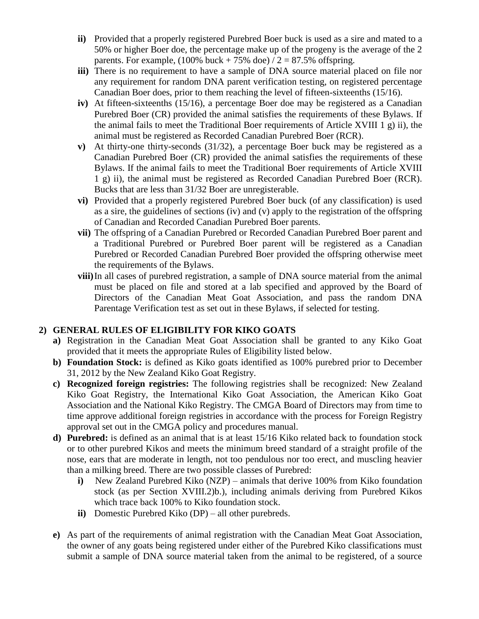- **ii)** Provided that a properly registered Purebred Boer buck is used as a sire and mated to a 50% or higher Boer doe, the percentage make up of the progeny is the average of the 2 parents. For example, (100% buck + 75% doe)  $/2 = 87.5\%$  offspring.
- **iii**) There is no requirement to have a sample of DNA source material placed on file nor any requirement for random DNA parent verification testing, on registered percentage Canadian Boer does, prior to them reaching the level of fifteen-sixteenths (15/16).
- **iv)** At fifteen-sixteenths (15/16), a percentage Boer doe may be registered as a Canadian Purebred Boer (CR) provided the animal satisfies the requirements of these Bylaws. If the animal fails to meet the Traditional Boer requirements of Article XVIII 1 g) ii), the animal must be registered as Recorded Canadian Purebred Boer (RCR).
- **v)** At thirty-one thirty-seconds (31/32), a percentage Boer buck may be registered as a Canadian Purebred Boer (CR) provided the animal satisfies the requirements of these Bylaws. If the animal fails to meet the Traditional Boer requirements of Article XVIII 1 g) ii), the animal must be registered as Recorded Canadian Purebred Boer (RCR). Bucks that are less than 31/32 Boer are unregisterable.
- **vi)** Provided that a properly registered Purebred Boer buck (of any classification) is used as a sire, the guidelines of sections (iv) and (v) apply to the registration of the offspring of Canadian and Recorded Canadian Purebred Boer parents.
- **vii)** The offspring of a Canadian Purebred or Recorded Canadian Purebred Boer parent and a Traditional Purebred or Purebred Boer parent will be registered as a Canadian Purebred or Recorded Canadian Purebred Boer provided the offspring otherwise meet the requirements of the Bylaws.
- **viii)**In all cases of purebred registration, a sample of DNA source material from the animal must be placed on file and stored at a lab specified and approved by the Board of Directors of the Canadian Meat Goat Association, and pass the random DNA Parentage Verification test as set out in these Bylaws, if selected for testing.

#### **2) GENERAL RULES OF ELIGIBILITY FOR KIKO GOATS**

- **a)** Registration in the Canadian Meat Goat Association shall be granted to any Kiko Goat provided that it meets the appropriate Rules of Eligibility listed below.
- **b) Foundation Stock:** is defined as Kiko goats identified as 100% purebred prior to December 31, 2012 by the New Zealand Kiko Goat Registry.
- **c) Recognized foreign registries:** The following registries shall be recognized: New Zealand Kiko Goat Registry, the International Kiko Goat Association, the American Kiko Goat Association and the National Kiko Registry. The CMGA Board of Directors may from time to time approve additional foreign registries in accordance with the process for Foreign Registry approval set out in the CMGA policy and procedures manual.
- **d) Purebred:** is defined as an animal that is at least 15/16 Kiko related back to foundation stock or to other purebred Kikos and meets the minimum breed standard of a straight profile of the nose, ears that are moderate in length, not too pendulous nor too erect, and muscling heavier than a milking breed. There are two possible classes of Purebred:
	- **i)** New Zealand Purebred Kiko (NZP) animals that derive 100% from Kiko foundation stock (as per Section XVIII.2)b.), including animals deriving from Purebred Kikos which trace back 100% to Kiko foundation stock.
	- **ii)** Domestic Purebred Kiko (DP) all other purebreds.
- **e)** As part of the requirements of animal registration with the Canadian Meat Goat Association, the owner of any goats being registered under either of the Purebred Kiko classifications must submit a sample of DNA source material taken from the animal to be registered, of a source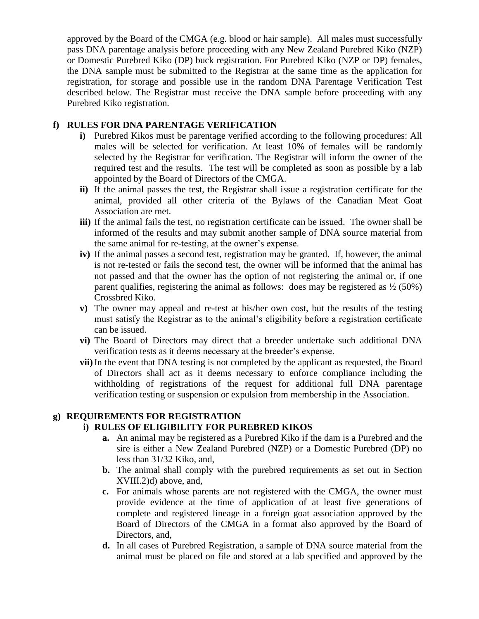approved by the Board of the CMGA (e.g. blood or hair sample). All males must successfully pass DNA parentage analysis before proceeding with any New Zealand Purebred Kiko (NZP) or Domestic Purebred Kiko (DP) buck registration. For Purebred Kiko (NZP or DP) females, the DNA sample must be submitted to the Registrar at the same time as the application for registration, for storage and possible use in the random DNA Parentage Verification Test described below. The Registrar must receive the DNA sample before proceeding with any Purebred Kiko registration.

### **f) RULES FOR DNA PARENTAGE VERIFICATION**

- **i)** Purebred Kikos must be parentage verified according to the following procedures: All males will be selected for verification. At least 10% of females will be randomly selected by the Registrar for verification. The Registrar will inform the owner of the required test and the results. The test will be completed as soon as possible by a lab appointed by the Board of Directors of the CMGA.
- **ii)** If the animal passes the test, the Registrar shall issue a registration certificate for the animal, provided all other criteria of the Bylaws of the Canadian Meat Goat Association are met.
- **iii)** If the animal fails the test, no registration certificate can be issued. The owner shall be informed of the results and may submit another sample of DNA source material from the same animal for re-testing, at the owner's expense.
- **iv)** If the animal passes a second test, registration may be granted. If, however, the animal is not re-tested or fails the second test, the owner will be informed that the animal has not passed and that the owner has the option of not registering the animal or, if one parent qualifies, registering the animal as follows: does may be registered as  $\frac{1}{2}$  (50%) Crossbred Kiko.
- **v)** The owner may appeal and re-test at his/her own cost, but the results of the testing must satisfy the Registrar as to the animal's eligibility before a registration certificate can be issued.
- **vi)** The Board of Directors may direct that a breeder undertake such additional DNA verification tests as it deems necessary at the breeder's expense.
- **vii)**In the event that DNA testing is not completed by the applicant as requested, the Board of Directors shall act as it deems necessary to enforce compliance including the withholding of registrations of the request for additional full DNA parentage verification testing or suspension or expulsion from membership in the Association.

#### **g) REQUIREMENTS FOR REGISTRATION**

#### **i) RULES OF ELIGIBILITY FOR PUREBRED KIKOS**

- **a.** An animal may be registered as a Purebred Kiko if the dam is a Purebred and the sire is either a New Zealand Purebred (NZP) or a Domestic Purebred (DP) no less than 31/32 Kiko, and,
- **b.** The animal shall comply with the purebred requirements as set out in Section XVIII.2)d) above, and,
- **c.** For animals whose parents are not registered with the CMGA, the owner must provide evidence at the time of application of at least five generations of complete and registered lineage in a foreign goat association approved by the Board of Directors of the CMGA in a format also approved by the Board of Directors, and,
- **d.** In all cases of Purebred Registration, a sample of DNA source material from the animal must be placed on file and stored at a lab specified and approved by the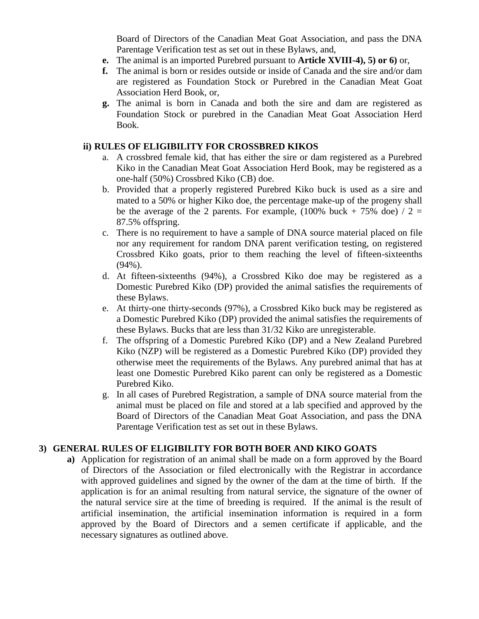Board of Directors of the Canadian Meat Goat Association, and pass the DNA Parentage Verification test as set out in these Bylaws, and,

- **e.** The animal is an imported Purebred pursuant to **Article XVIII-4), 5) or 6)** or,
- **f.** The animal is born or resides outside or inside of Canada and the sire and/or dam are registered as Foundation Stock or Purebred in the Canadian Meat Goat Association Herd Book, or,
- **g.** The animal is born in Canada and both the sire and dam are registered as Foundation Stock or purebred in the Canadian Meat Goat Association Herd Book.

#### **ii) RULES OF ELIGIBILITY FOR CROSSBRED KIKOS**

- a. A crossbred female kid, that has either the sire or dam registered as a Purebred Kiko in the Canadian Meat Goat Association Herd Book, may be registered as a one-half (50%) Crossbred Kiko (CB) doe.
- b. Provided that a properly registered Purebred Kiko buck is used as a sire and mated to a 50% or higher Kiko doe, the percentage make-up of the progeny shall be the average of the 2 parents. For example,  $(100\%$  buck + 75% doe) / 2 = 87.5% offspring.
- c. There is no requirement to have a sample of DNA source material placed on file nor any requirement for random DNA parent verification testing, on registered Crossbred Kiko goats, prior to them reaching the level of fifteen-sixteenths (94%).
- d. At fifteen-sixteenths (94%), a Crossbred Kiko doe may be registered as a Domestic Purebred Kiko (DP) provided the animal satisfies the requirements of these Bylaws.
- e. At thirty-one thirty-seconds (97%), a Crossbred Kiko buck may be registered as a Domestic Purebred Kiko (DP) provided the animal satisfies the requirements of these Bylaws. Bucks that are less than 31/32 Kiko are unregisterable.
- f. The offspring of a Domestic Purebred Kiko (DP) and a New Zealand Purebred Kiko (NZP) will be registered as a Domestic Purebred Kiko (DP) provided they otherwise meet the requirements of the Bylaws. Any purebred animal that has at least one Domestic Purebred Kiko parent can only be registered as a Domestic Purebred Kiko.
- g. In all cases of Purebred Registration, a sample of DNA source material from the animal must be placed on file and stored at a lab specified and approved by the Board of Directors of the Canadian Meat Goat Association, and pass the DNA Parentage Verification test as set out in these Bylaws.

#### **3) GENERAL RULES OF ELIGIBILITY FOR BOTH BOER AND KIKO GOATS**

**a)** Application for registration of an animal shall be made on a form approved by the Board of Directors of the Association or filed electronically with the Registrar in accordance with approved guidelines and signed by the owner of the dam at the time of birth. If the application is for an animal resulting from natural service, the signature of the owner of the natural service sire at the time of breeding is required. If the animal is the result of artificial insemination, the artificial insemination information is required in a form approved by the Board of Directors and a semen certificate if applicable, and the necessary signatures as outlined above.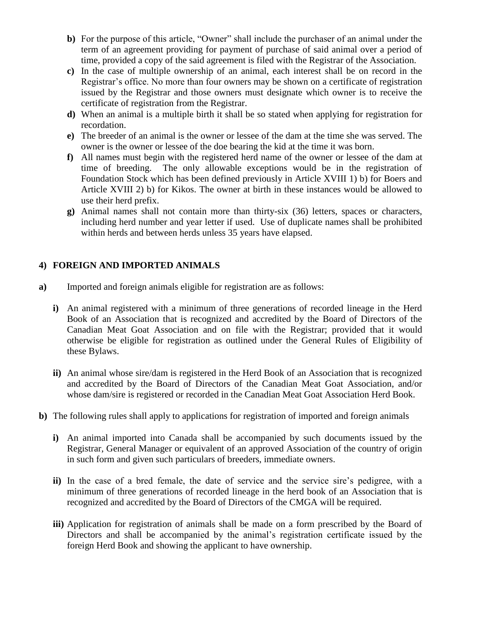- **b)** For the purpose of this article, "Owner" shall include the purchaser of an animal under the term of an agreement providing for payment of purchase of said animal over a period of time, provided a copy of the said agreement is filed with the Registrar of the Association.
- **c)** In the case of multiple ownership of an animal, each interest shall be on record in the Registrar's office. No more than four owners may be shown on a certificate of registration issued by the Registrar and those owners must designate which owner is to receive the certificate of registration from the Registrar.
- **d)** When an animal is a multiple birth it shall be so stated when applying for registration for recordation.
- **e)** The breeder of an animal is the owner or lessee of the dam at the time she was served. The owner is the owner or lessee of the doe bearing the kid at the time it was born.
- **f)** All names must begin with the registered herd name of the owner or lessee of the dam at time of breeding. The only allowable exceptions would be in the registration of Foundation Stock which has been defined previously in Article XVIII 1) b) for Boers and Article XVIII 2) b) for Kikos. The owner at birth in these instances would be allowed to use their herd prefix.
- **g)** Animal names shall not contain more than thirty-six (36) letters, spaces or characters, including herd number and year letter if used. Use of duplicate names shall be prohibited within herds and between herds unless 35 years have elapsed.

#### **4) FOREIGN AND IMPORTED ANIMALS**

- **a)** Imported and foreign animals eligible for registration are as follows:
	- **i)** An animal registered with a minimum of three generations of recorded lineage in the Herd Book of an Association that is recognized and accredited by the Board of Directors of the Canadian Meat Goat Association and on file with the Registrar; provided that it would otherwise be eligible for registration as outlined under the General Rules of Eligibility of these Bylaws.
	- **ii)** An animal whose sire/dam is registered in the Herd Book of an Association that is recognized and accredited by the Board of Directors of the Canadian Meat Goat Association, and/or whose dam/sire is registered or recorded in the Canadian Meat Goat Association Herd Book.
- **b)** The following rules shall apply to applications for registration of imported and foreign animals
	- **i)** An animal imported into Canada shall be accompanied by such documents issued by the Registrar, General Manager or equivalent of an approved Association of the country of origin in such form and given such particulars of breeders, immediate owners.
	- **ii)** In the case of a bred female, the date of service and the service sire's pedigree, with a minimum of three generations of recorded lineage in the herd book of an Association that is recognized and accredited by the Board of Directors of the CMGA will be required.
	- **iii)** Application for registration of animals shall be made on a form prescribed by the Board of Directors and shall be accompanied by the animal's registration certificate issued by the foreign Herd Book and showing the applicant to have ownership.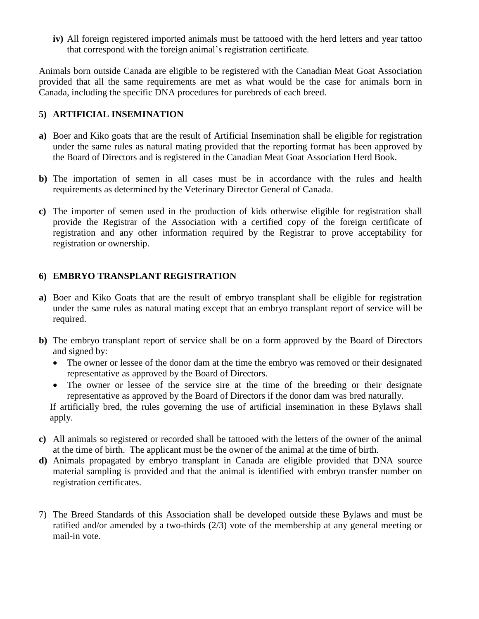**iv)** All foreign registered imported animals must be tattooed with the herd letters and year tattoo that correspond with the foreign animal's registration certificate.

Animals born outside Canada are eligible to be registered with the Canadian Meat Goat Association provided that all the same requirements are met as what would be the case for animals born in Canada, including the specific DNA procedures for purebreds of each breed.

## **5) ARTIFICIAL INSEMINATION**

- **a)** Boer and Kiko goats that are the result of Artificial Insemination shall be eligible for registration under the same rules as natural mating provided that the reporting format has been approved by the Board of Directors and is registered in the Canadian Meat Goat Association Herd Book.
- **b)** The importation of semen in all cases must be in accordance with the rules and health requirements as determined by the Veterinary Director General of Canada.
- **c)** The importer of semen used in the production of kids otherwise eligible for registration shall provide the Registrar of the Association with a certified copy of the foreign certificate of registration and any other information required by the Registrar to prove acceptability for registration or ownership.

## **6) EMBRYO TRANSPLANT REGISTRATION**

- **a)** Boer and Kiko Goats that are the result of embryo transplant shall be eligible for registration under the same rules as natural mating except that an embryo transplant report of service will be required.
- **b)** The embryo transplant report of service shall be on a form approved by the Board of Directors and signed by:
	- The owner or lessee of the donor dam at the time the embryo was removed or their designated representative as approved by the Board of Directors.
	- The owner or lessee of the service sire at the time of the breeding or their designate representative as approved by the Board of Directors if the donor dam was bred naturally.

If artificially bred, the rules governing the use of artificial insemination in these Bylaws shall apply.

- **c)** All animals so registered or recorded shall be tattooed with the letters of the owner of the animal at the time of birth. The applicant must be the owner of the animal at the time of birth.
- **d)** Animals propagated by embryo transplant in Canada are eligible provided that DNA source material sampling is provided and that the animal is identified with embryo transfer number on registration certificates.
- 7) The Breed Standards of this Association shall be developed outside these Bylaws and must be ratified and/or amended by a two-thirds (2/3) vote of the membership at any general meeting or mail-in vote.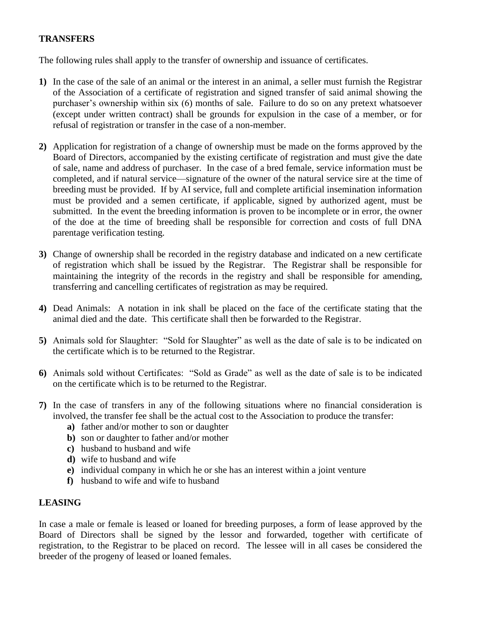#### **TRANSFERS**

The following rules shall apply to the transfer of ownership and issuance of certificates.

- **1)** In the case of the sale of an animal or the interest in an animal, a seller must furnish the Registrar of the Association of a certificate of registration and signed transfer of said animal showing the purchaser's ownership within six (6) months of sale. Failure to do so on any pretext whatsoever (except under written contract) shall be grounds for expulsion in the case of a member, or for refusal of registration or transfer in the case of a non-member.
- **2)** Application for registration of a change of ownership must be made on the forms approved by the Board of Directors, accompanied by the existing certificate of registration and must give the date of sale, name and address of purchaser. In the case of a bred female, service information must be completed, and if natural service—signature of the owner of the natural service sire at the time of breeding must be provided. If by AI service, full and complete artificial insemination information must be provided and a semen certificate, if applicable, signed by authorized agent, must be submitted. In the event the breeding information is proven to be incomplete or in error, the owner of the doe at the time of breeding shall be responsible for correction and costs of full DNA parentage verification testing.
- **3)** Change of ownership shall be recorded in the registry database and indicated on a new certificate of registration which shall be issued by the Registrar. The Registrar shall be responsible for maintaining the integrity of the records in the registry and shall be responsible for amending, transferring and cancelling certificates of registration as may be required.
- **4)** Dead Animals: A notation in ink shall be placed on the face of the certificate stating that the animal died and the date. This certificate shall then be forwarded to the Registrar.
- **5)** Animals sold for Slaughter: "Sold for Slaughter" as well as the date of sale is to be indicated on the certificate which is to be returned to the Registrar.
- **6)** Animals sold without Certificates: "Sold as Grade" as well as the date of sale is to be indicated on the certificate which is to be returned to the Registrar.
- **7)** In the case of transfers in any of the following situations where no financial consideration is involved, the transfer fee shall be the actual cost to the Association to produce the transfer:
	- **a)** father and/or mother to son or daughter
	- **b)** son or daughter to father and/or mother
	- **c)** husband to husband and wife
	- **d)** wife to husband and wife
	- **e)** individual company in which he or she has an interest within a joint venture
	- **f)** husband to wife and wife to husband

#### **LEASING**

In case a male or female is leased or loaned for breeding purposes, a form of lease approved by the Board of Directors shall be signed by the lessor and forwarded, together with certificate of registration, to the Registrar to be placed on record. The lessee will in all cases be considered the breeder of the progeny of leased or loaned females.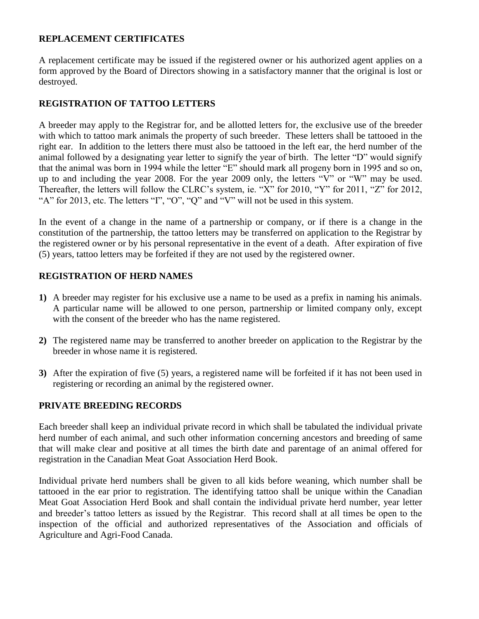#### **REPLACEMENT CERTIFICATES**

A replacement certificate may be issued if the registered owner or his authorized agent applies on a form approved by the Board of Directors showing in a satisfactory manner that the original is lost or destroyed.

### **REGISTRATION OF TATTOO LETTERS**

A breeder may apply to the Registrar for, and be allotted letters for, the exclusive use of the breeder with which to tattoo mark animals the property of such breeder. These letters shall be tattooed in the right ear. In addition to the letters there must also be tattooed in the left ear, the herd number of the animal followed by a designating year letter to signify the year of birth. The letter "D" would signify that the animal was born in 1994 while the letter "E" should mark all progeny born in 1995 and so on, up to and including the year 2008. For the year 2009 only, the letters "V" or "W" may be used. Thereafter, the letters will follow the CLRC's system, ie. "X" for 2010, "Y" for 2011, "Z" for 2012, "A" for 2013, etc. The letters "I", "O", "Q" and "V" will not be used in this system.

In the event of a change in the name of a partnership or company, or if there is a change in the constitution of the partnership, the tattoo letters may be transferred on application to the Registrar by the registered owner or by his personal representative in the event of a death. After expiration of five (5) years, tattoo letters may be forfeited if they are not used by the registered owner.

### **REGISTRATION OF HERD NAMES**

- **1)** A breeder may register for his exclusive use a name to be used as a prefix in naming his animals. A particular name will be allowed to one person, partnership or limited company only, except with the consent of the breeder who has the name registered.
- **2)** The registered name may be transferred to another breeder on application to the Registrar by the breeder in whose name it is registered.
- **3)** After the expiration of five (5) years, a registered name will be forfeited if it has not been used in registering or recording an animal by the registered owner.

#### **PRIVATE BREEDING RECORDS**

Each breeder shall keep an individual private record in which shall be tabulated the individual private herd number of each animal, and such other information concerning ancestors and breeding of same that will make clear and positive at all times the birth date and parentage of an animal offered for registration in the Canadian Meat Goat Association Herd Book.

Individual private herd numbers shall be given to all kids before weaning, which number shall be tattooed in the ear prior to registration. The identifying tattoo shall be unique within the Canadian Meat Goat Association Herd Book and shall contain the individual private herd number, year letter and breeder's tattoo letters as issued by the Registrar. This record shall at all times be open to the inspection of the official and authorized representatives of the Association and officials of Agriculture and Agri-Food Canada.